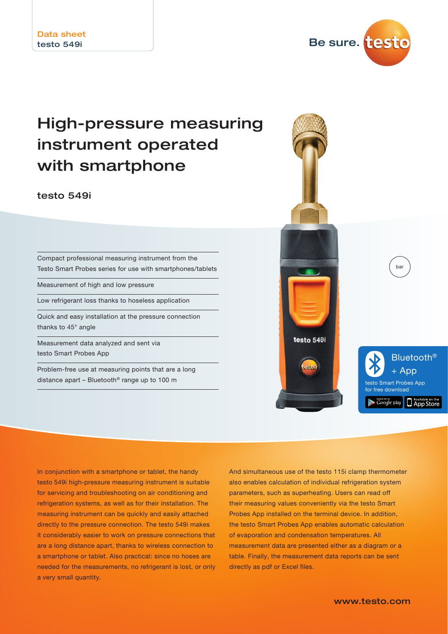

# High-pressure measuring instrument operated with smartphone

testo 549i

Compact professional measuring instrument from the Testo Smart Probes series for use with smartphones/tablets

Measurement of high and low pressure

Low refrigerant loss thanks to hoseless application

Quick and easy installation at the pressure connection thanks to 45° angle

Measurement data analyzed and sent via testo Smart Probes App

Problem-free use at measuring points that are a long distance apart – Bluetooth® range up to 100 m



In conjunction with a smartphone or tablet, the handy testo 549i high-pressure measuring instrument is suitable for servicing and troubleshooting on air conditioning and refrigeration systems, as well as for their installation. The measuring instrument can be quickly and easily attached directly to the pressure connection. The testo 549i makes it considerably easier to work on pressure connections that are a long distance apart, thanks to wireless connection to a smartphone or tablet. Also practical: since no hoses are needed for the measurements, no refrigerant is lost, or only a very small quantity.

And simultaneous use of the testo 115i clamp thermometer also enables calculation of individual refrigeration system parameters, such as superheating. Users can read off their measuring values conveniently via the testo Smart Probes App installed on the terminal device. In addition, the testo Smart Probes App enables automatic calculation of evaporation and condensation temperatures. All measurement data are presented either as a diagram or a table. Finally, the measurement data reports can be sent directly as pdf or Excel files.